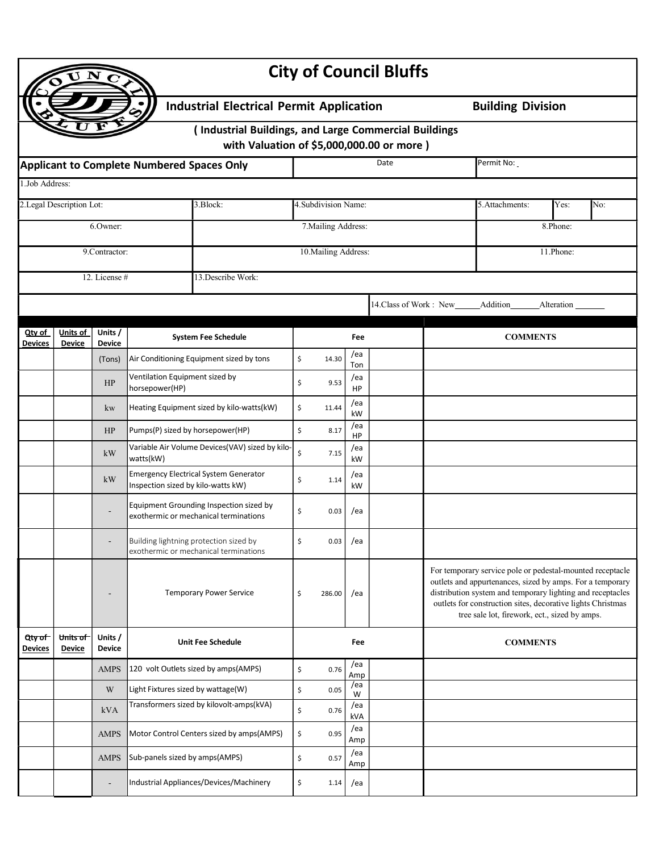|                                                 |                                     |                          |                                                  |                                                                                                     |                      |                      |              | <b>City of Council Bluffs</b> |  |                                                                                                                                                                                                                                                                                                      |            |     |  |
|-------------------------------------------------|-------------------------------------|--------------------------|--------------------------------------------------|-----------------------------------------------------------------------------------------------------|----------------------|----------------------|--------------|-------------------------------|--|------------------------------------------------------------------------------------------------------------------------------------------------------------------------------------------------------------------------------------------------------------------------------------------------------|------------|-----|--|
| <b>Industrial Electrical Permit Application</b> |                                     |                          |                                                  |                                                                                                     |                      |                      |              |                               |  | <b>Building Division</b>                                                                                                                                                                                                                                                                             |            |     |  |
|                                                 |                                     |                          |                                                  | (Industrial Buildings, and Large Commercial Buildings<br>with Valuation of \$5,000,000.00 or more ) |                      |                      |              |                               |  |                                                                                                                                                                                                                                                                                                      |            |     |  |
|                                                 |                                     |                          | Applicant to Complete Numbered Spaces Only       |                                                                                                     |                      |                      |              | Date                          |  | Permit No:                                                                                                                                                                                                                                                                                           |            |     |  |
| 1.Job Address:                                  |                                     |                          |                                                  |                                                                                                     |                      |                      |              |                               |  |                                                                                                                                                                                                                                                                                                      |            |     |  |
| 2.Legal Description Lot:<br>3.Block:            |                                     |                          |                                                  |                                                                                                     | 4. Subdivision Name: |                      |              |                               |  | 5.Attachments:                                                                                                                                                                                                                                                                                       | Yes:       | No: |  |
|                                                 | 6.0wner:                            |                          |                                                  |                                                                                                     |                      | 7. Mailing Address:  |              |                               |  | 8.Phone:                                                                                                                                                                                                                                                                                             |            |     |  |
|                                                 | 9.Contractor:                       |                          |                                                  |                                                                                                     |                      | 10. Mailing Address: |              |                               |  | 11.Phone:                                                                                                                                                                                                                                                                                            |            |     |  |
|                                                 | 12. License #<br>13. Describe Work: |                          |                                                  |                                                                                                     |                      |                      |              |                               |  |                                                                                                                                                                                                                                                                                                      |            |     |  |
|                                                 |                                     |                          |                                                  |                                                                                                     |                      |                      |              | 14. Class of Work: New        |  | Addition                                                                                                                                                                                                                                                                                             | Alteration |     |  |
|                                                 |                                     |                          |                                                  |                                                                                                     |                      |                      |              |                               |  |                                                                                                                                                                                                                                                                                                      |            |     |  |
| Qty of<br>Devices                               | Units of<br><b>Device</b>           | Units /<br><b>Device</b> |                                                  | <b>System Fee Schedule</b>                                                                          |                      |                      | Fee          |                               |  | <b>COMMENTS</b>                                                                                                                                                                                                                                                                                      |            |     |  |
|                                                 |                                     | (Tons)                   |                                                  | Air Conditioning Equipment sized by tons                                                            | \$                   | 14.30                | /ea<br>Ton   |                               |  |                                                                                                                                                                                                                                                                                                      |            |     |  |
|                                                 |                                     | HP                       | Ventilation Equipment sized by<br>horsepower(HP) |                                                                                                     | \$                   | 9.53                 | /ea<br>HP    |                               |  |                                                                                                                                                                                                                                                                                                      |            |     |  |
|                                                 |                                     | kw                       |                                                  | Heating Equipment sized by kilo-watts(kW)                                                           | \$                   | 11.44                | /ea<br>kW    |                               |  |                                                                                                                                                                                                                                                                                                      |            |     |  |
|                                                 |                                     | HP                       | Pumps(P) sized by horsepower(HP)                 |                                                                                                     | \$                   | 8.17                 | /ea<br>HP    |                               |  |                                                                                                                                                                                                                                                                                                      |            |     |  |
|                                                 |                                     | kW                       | watts(kW)                                        | Variable Air Volume Devices(VAV) sized by kilo-                                                     | \$                   | 7.15                 | /ea<br>kW    |                               |  |                                                                                                                                                                                                                                                                                                      |            |     |  |
|                                                 |                                     | kW                       | Inspection sized by kilo-watts kW)               | <b>Emergency Electrical System Generator</b>                                                        | \$                   | 1.14                 | /ea<br>kW    |                               |  |                                                                                                                                                                                                                                                                                                      |            |     |  |
|                                                 |                                     |                          |                                                  | Equipment Grounding Inspection sized by<br>exothermic or mechanical terminations                    | \$                   | 0.03                 | /ea          |                               |  |                                                                                                                                                                                                                                                                                                      |            |     |  |
|                                                 |                                     |                          |                                                  | Building lightning protection sized by<br>exothermic or mechanical terminations                     | Ş                    |                      | $0.03$   /ea |                               |  |                                                                                                                                                                                                                                                                                                      |            |     |  |
|                                                 |                                     |                          |                                                  | <b>Temporary Power Service</b>                                                                      | \$                   | 286.00               | /ea          |                               |  | For temporary service pole or pedestal-mounted receptacle<br>outlets and appurtenances, sized by amps. For a temporary<br>distribution system and temporary lighting and receptacles<br>outlets for construction sites, decorative lights Christmas<br>tree sale lot, firework, ect., sized by amps. |            |     |  |
| Qty of<br>Devices                               | Units of<br><b>Device</b>           | Units /<br><b>Device</b> |                                                  | <b>Unit Fee Schedule</b>                                                                            | Fee                  |                      |              | <b>COMMENTS</b>               |  |                                                                                                                                                                                                                                                                                                      |            |     |  |
|                                                 |                                     | <b>AMPS</b>              |                                                  | 120 volt Outlets sized by amps(AMPS)                                                                | \$                   | 0.76                 | /ea<br>Amp   |                               |  |                                                                                                                                                                                                                                                                                                      |            |     |  |
|                                                 |                                     | $\ensuremath{\text{W}}$  | Light Fixtures sized by wattage(W)               |                                                                                                     | \$                   | 0.05                 | /ea<br>W     |                               |  |                                                                                                                                                                                                                                                                                                      |            |     |  |
|                                                 |                                     | kVA                      |                                                  | Transformers sized by kilovolt-amps(kVA)                                                            | \$                   | 0.76                 | /ea<br>kVA   |                               |  |                                                                                                                                                                                                                                                                                                      |            |     |  |
|                                                 |                                     | <b>AMPS</b>              |                                                  | Motor Control Centers sized by amps(AMPS)                                                           | \$                   | 0.95                 | /ea<br>Amp   |                               |  |                                                                                                                                                                                                                                                                                                      |            |     |  |
|                                                 |                                     | <b>AMPS</b>              | Sub-panels sized by amps(AMPS)                   |                                                                                                     | \$                   | 0.57                 | /ea<br>Amp   |                               |  |                                                                                                                                                                                                                                                                                                      |            |     |  |
|                                                 |                                     |                          |                                                  | Industrial Appliances/Devices/Machinery                                                             | \$                   | 1.14                 | /ea          |                               |  |                                                                                                                                                                                                                                                                                                      |            |     |  |